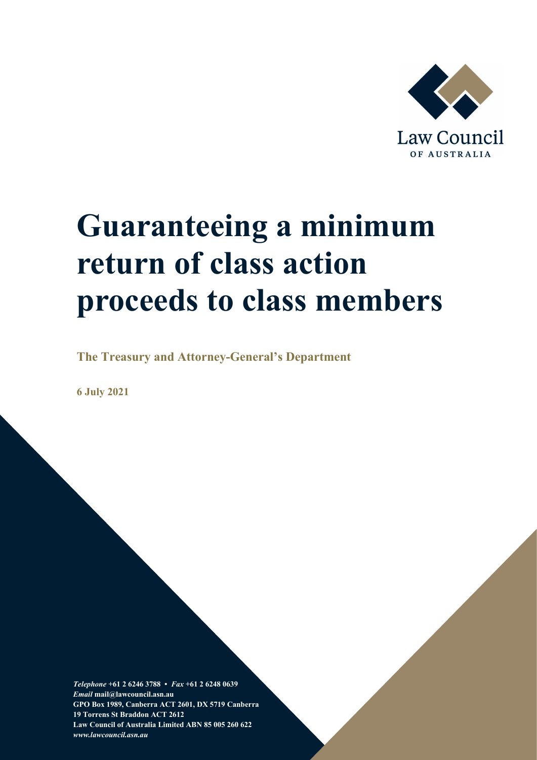

# **Guaranteeing a minimum return of class action proceeds to class members**

**The Treasury and Attorney-General's Department**

**6 July 2021**

*Telephone* **+61 2 6246 3788 •** *Fax* **+61 2 6248 0639**  *Email* **mail@lawcouncil.asn.au GPO Box 1989, Canberra ACT 2601, DX 5719 Canberra 19 Torrens St Braddon ACT 2612 Law Council of Australia Limited ABN 85 005 260 622** *www.lawcouncil.asn.au*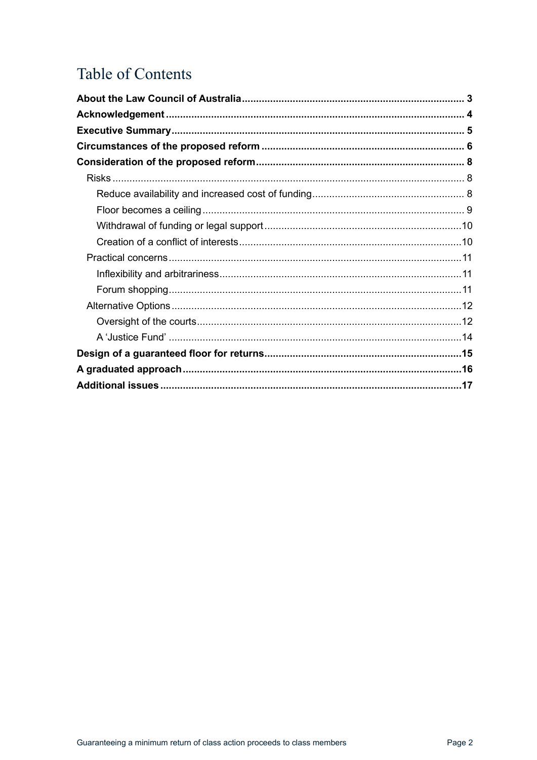# Table of Contents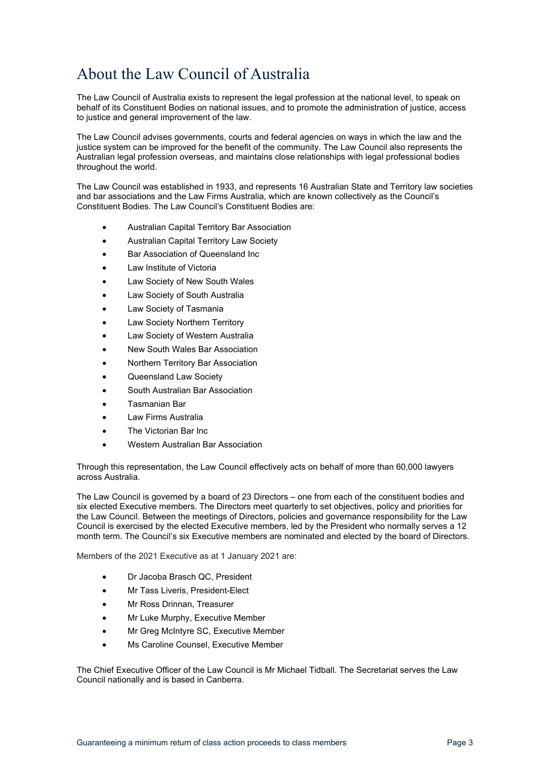# <span id="page-2-0"></span>About the Law Council of Australia

The Law Council of Australia exists to represent the legal profession at the national level, to speak on behalf of its Constituent Bodies on national issues, and to promote the administration of justice, access to justice and general improvement of the law.

The Law Council advises governments, courts and federal agencies on ways in which the law and the justice system can be improved for the benefit of the community. The Law Council also represents the Australian legal profession overseas, and maintains close relationships with legal professional bodies throughout the world.

The Law Council was established in 1933, and represents 16 Australian State and Territory law societies and bar associations and the Law Firms Australia, which are known collectively as the Council's Constituent Bodies. The Law Council's Constituent Bodies are:

- Australian Capital Territory Bar Association
- Australian Capital Territory Law Society
- Bar Association of Queensland Inc
- Law Institute of Victoria
- Law Society of New South Wales
- Law Society of South Australia
- Law Society of Tasmania
- Law Society Northern Territory
- Law Society of Western Australia
- New South Wales Bar Association
- Northern Territory Bar Association
- Queensland Law Society
- South Australian Bar Association
- Tasmanian Bar
- Law Firms Australia
- The Victorian Bar Inc
- Western Australian Bar Association

Through this representation, the Law Council effectively acts on behalf of more than 60,000 lawyers across Australia.

The Law Council is governed by a board of 23 Directors – one from each of the constituent bodies and six elected Executive members. The Directors meet quarterly to set objectives, policy and priorities for the Law Council. Between the meetings of Directors, policies and governance responsibility for the Law Council is exercised by the elected Executive members, led by the President who normally serves a 12 month term. The Council's six Executive members are nominated and elected by the board of Directors.

Members of the 2021 Executive as at 1 January 2021 are:

- Dr Jacoba Brasch QC, President
- Mr Tass Liveris, President-Elect
- Mr Ross Drinnan, Treasurer
- Mr Luke Murphy, Executive Member
- Mr Greg McIntyre SC, Executive Member
- Ms Caroline Counsel, Executive Member

The Chief Executive Officer of the Law Council is Mr Michael Tidball. The Secretariat serves the Law Council nationally and is based in Canberra.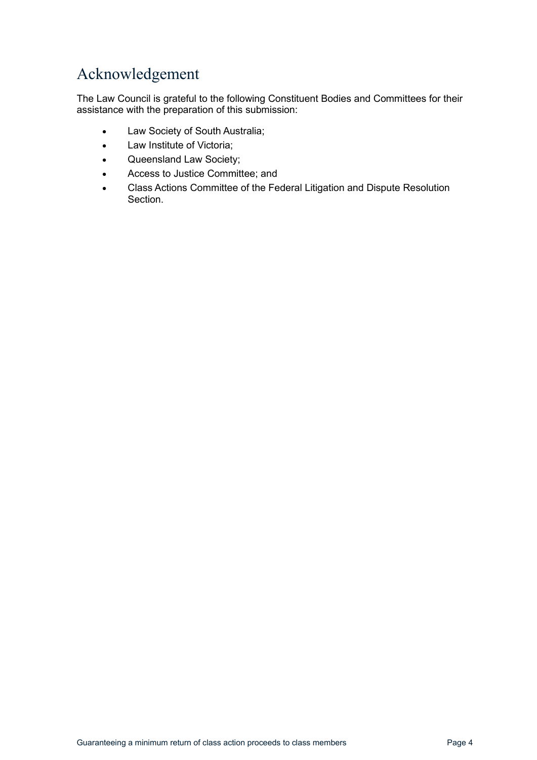# <span id="page-3-0"></span>Acknowledgement

The Law Council is grateful to the following Constituent Bodies and Committees for their assistance with the preparation of this submission:

- Law Society of South Australia;
- Law Institute of Victoria;
- Queensland Law Society;
- Access to Justice Committee; and
- Class Actions Committee of the Federal Litigation and Dispute Resolution Section.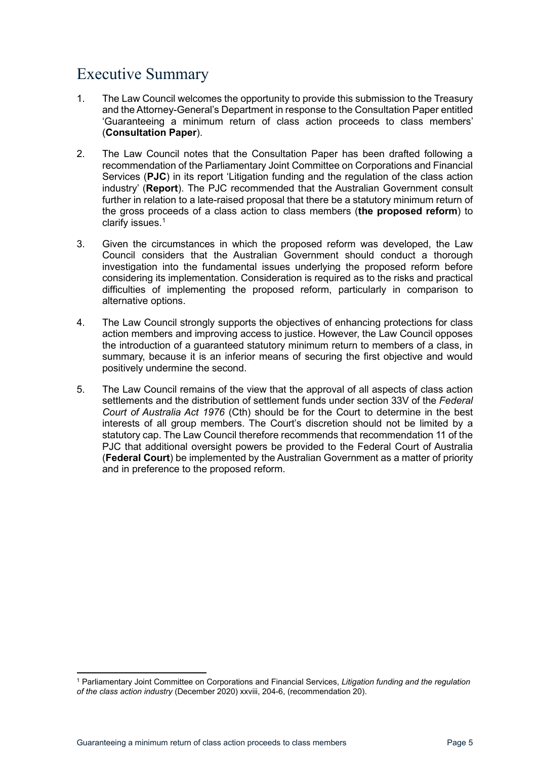# <span id="page-4-0"></span>Executive Summary

- 1. The Law Council welcomes the opportunity to provide this submission to the Treasury and the Attorney-General's Department in response to the Consultation Paper entitled 'Guaranteeing a minimum return of class action proceeds to class members' (**Consultation Paper**).
- 2. The Law Council notes that the Consultation Paper has been drafted following a recommendation of the Parliamentary Joint Committee on Corporations and Financial Services (**PJC**) in its report 'Litigation funding and the regulation of the class action industry' (**Report**). The PJC recommended that the Australian Government consult further in relation to a late-raised proposal that there be a statutory minimum return of the gross proceeds of a class action to class members (**the proposed reform**) to clarify issues. [1](#page-4-1)
- 3. Given the circumstances in which the proposed reform was developed, the Law Council considers that the Australian Government should conduct a thorough investigation into the fundamental issues underlying the proposed reform before considering its implementation. Consideration is required as to the risks and practical difficulties of implementing the proposed reform, particularly in comparison to alternative options.
- 4. The Law Council strongly supports the objectives of enhancing protections for class action members and improving access to justice. However, the Law Council opposes the introduction of a guaranteed statutory minimum return to members of a class, in summary, because it is an inferior means of securing the first objective and would positively undermine the second.
- 5. The Law Council remains of the view that the approval of all aspects of class action settlements and the distribution of settlement funds under section 33V of the *Federal Court of Australia Act 1976* (Cth) should be for the Court to determine in the best interests of all group members. The Court's discretion should not be limited by a statutory cap. The Law Council therefore recommends that recommendation 11 of the PJC that additional oversight powers be provided to the Federal Court of Australia (**Federal Court**) be implemented by the Australian Government as a matter of priority and in preference to the proposed reform.

<span id="page-4-1"></span><sup>1</sup> Parliamentary Joint Committee on Corporations and Financial Services, *Litigation funding and the regulation of the class action industry* (December 2020) xxviii, 204-6, (recommendation 20).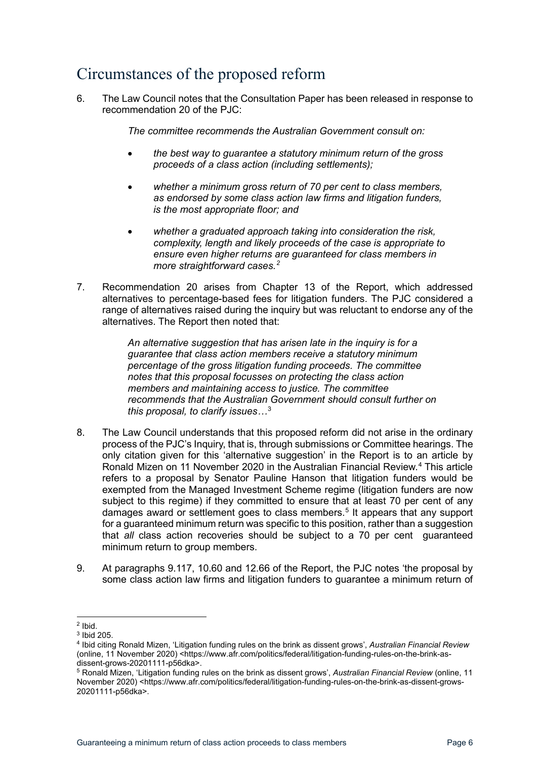# <span id="page-5-0"></span>Circumstances of the proposed reform

<span id="page-5-5"></span>6. The Law Council notes that the Consultation Paper has been released in response to recommendation 20 of the PJC:

*The committee recommends the Australian Government consult on:*

- *the best way to guarantee a statutory minimum return of the gross proceeds of a class action (including settlements);*
- *whether a minimum gross return of 70 per cent to class members, as endorsed by some class action law firms and litigation funders, is the most appropriate floor; and*
- *whether a graduated approach taking into consideration the risk, complexity, length and likely proceeds of the case is appropriate to ensure even higher returns are guaranteed for class members in more straightforward cases.[2](#page-5-1)*
- 7. Recommendation 20 arises from Chapter 13 of the Report, which addressed alternatives to percentage-based fees for litigation funders. The PJC considered a range of alternatives raised during the inquiry but was reluctant to endorse any of the alternatives. The Report then noted that:

*An alternative suggestion that has arisen late in the inquiry is for a guarantee that class action members receive a statutory minimum percentage of the gross litigation funding proceeds. The committee notes that this proposal focusses on protecting the class action members and maintaining access to justice. The committee recommends that the Australian Government should consult further on this proposal, to clarify issues…*[3](#page-5-2)

- 8. The Law Council understands that this proposed reform did not arise in the ordinary process of the PJC's Inquiry, that is, through submissions or Committee hearings. The only citation given for this 'alternative suggestion' in the Report is to an article by Ronald Mizen on 11 November 2020 in the Australian Financial Review. [4](#page-5-3) This article refers to a proposal by Senator Pauline Hanson that litigation funders would be exempted from the Managed Investment Scheme regime (litigation funders are now subject to this regime) if they committed to ensure that at least 70 per cent of any damages award or settlement goes to class members.<sup>[5](#page-5-4)</sup> It appears that any support for a guaranteed minimum return was specific to this position, rather than a suggestion that *all* class action recoveries should be subject to a 70 per cent guaranteed minimum return to group members.
- 9. At paragraphs 9.117, 10.60 and 12.66 of the Report, the PJC notes 'the proposal by some class action law firms and litigation funders to guarantee a minimum return of

<span id="page-5-1"></span><sup>2</sup> Ibid.

<span id="page-5-2"></span><sup>3</sup> Ibid 205.

<span id="page-5-3"></span><sup>4</sup> Ibid citing Ronald Mizen, 'Litigation funding rules on the brink as dissent grows', *Australian Financial Review* (online, 11 November 2020) <https://www.afr.com/politics/federal/litigation-funding-rules-on-the-brink-asdissent-grows-20201111-p56dka>.<br><sup>5</sup> Ronald Mizen, 'Litigation funding rules on the brink as dissent grows', *Australian Financial Review* (online, 11

<span id="page-5-4"></span>November 2020) <https://www.afr.com/politics/federal/litigation-funding-rules-on-the-brink-as-dissent-grows-20201111-p56dka>.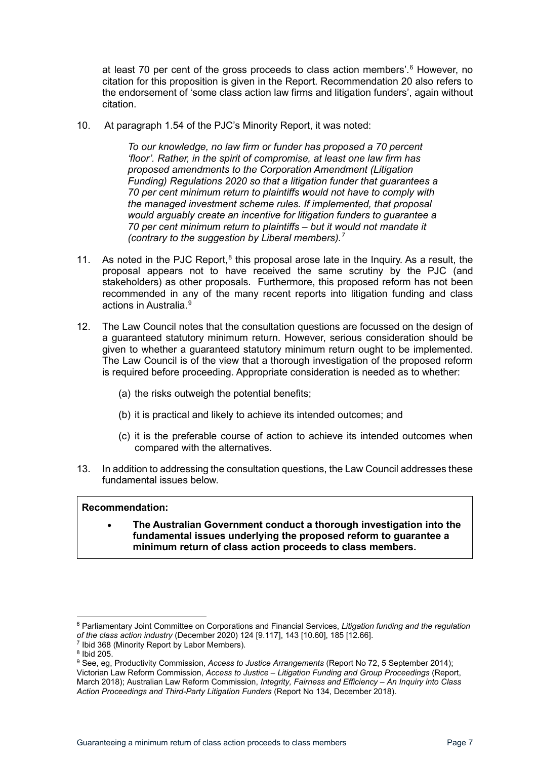at least 70 per cent of the gross proceeds to class action members'.<sup>[6](#page-6-0)</sup> However, no citation for this proposition is given in the Report. Recommendation 20 also refers to the endorsement of 'some class action law firms and litigation funders', again without citation.

10. At paragraph 1.54 of the PJC's Minority Report, it was noted:

*To our knowledge, no law firm or funder has proposed a 70 percent 'floor'. Rather, in the spirit of compromise, at least one law firm has proposed amendments to the Corporation Amendment (Litigation Funding) Regulations 2020 so that a litigation funder that guarantees a 70 per cent minimum return to plaintiffs would not have to comply with the managed investment scheme rules. If implemented, that proposal would arguably create an incentive for litigation funders to guarantee a 70 per cent minimum return to plaintiffs – but it would not mandate it (contrary to the suggestion by Liberal members).[7](#page-6-1)*

- 11. As noted in the PJC Report, $<sup>8</sup>$  $<sup>8</sup>$  $<sup>8</sup>$  this proposal arose late in the Inquiry. As a result, the</sup> proposal appears not to have received the same scrutiny by the PJC (and stakeholders) as other proposals. Furthermore, this proposed reform has not been recommended in any of the many recent reports into litigation funding and class actions in Australia. [9](#page-6-3)
- 12. The Law Council notes that the consultation questions are focussed on the design of a guaranteed statutory minimum return. However, serious consideration should be given to whether a guaranteed statutory minimum return ought to be implemented. The Law Council is of the view that a thorough investigation of the proposed reform is required before proceeding. Appropriate consideration is needed as to whether:
	- (a) the risks outweigh the potential benefits;
	- (b) it is practical and likely to achieve its intended outcomes; and
	- (c) it is the preferable course of action to achieve its intended outcomes when compared with the alternatives.
- <span id="page-6-4"></span>13. In addition to addressing the consultation questions, the Law Council addresses these fundamental issues below.

## **Recommendation:**

• **The Australian Government conduct a thorough investigation into the fundamental issues underlying the proposed reform to guarantee a minimum return of class action proceeds to class members.**

<span id="page-6-0"></span><sup>6</sup> Parliamentary Joint Committee on Corporations and Financial Services, *Litigation funding and the regulation of the class action industry* (December 2020) 124 [9.117], 143 [10.60], 185 [12.66].<br><sup>7</sup> Ibid 368 (Minority Report by Labor Members).

<span id="page-6-1"></span>

<sup>8</sup> Ibid 205.

<span id="page-6-3"></span><span id="page-6-2"></span><sup>9</sup> See, eg, Productivity Commission, *Access to Justice Arrangements* (Report No 72, 5 September 2014); Victorian Law Reform Commission, *Access to Justice – Litigation Funding and Group Proceedings* (Report, March 2018); Australian Law Reform Commission, *Integrity, Fairness and Efficiency – An Inquiry into Class Action Proceedings and Third-Party Litigation Funders* (Report No 134, December 2018).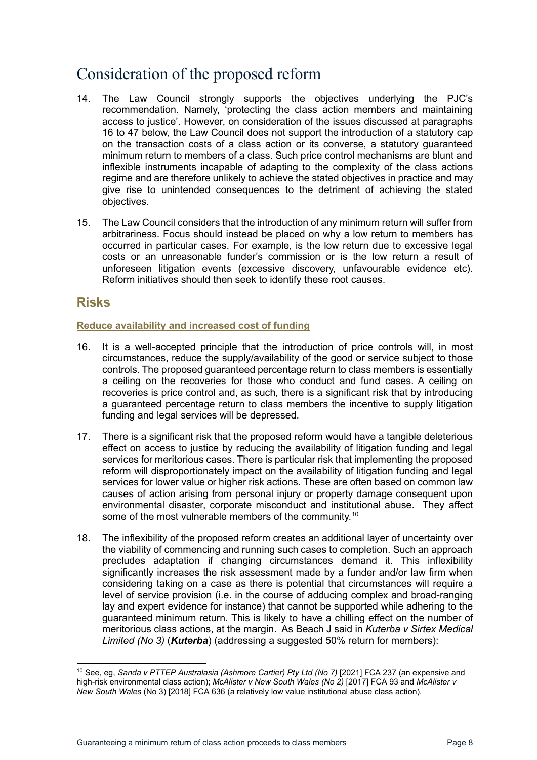# <span id="page-7-0"></span>Consideration of the proposed reform

- 14. The Law Council strongly supports the objectives underlying the PJC's recommendation. Namely, 'protecting the class action members and maintaining access to justice'. However, on consideration of the issues discussed at paragraphs [16](#page-7-3) to [47](#page-13-1) below, the Law Council does not support the introduction of a statutory cap on the transaction costs of a class action or its converse, a statutory guaranteed minimum return to members of a class. Such price control mechanisms are blunt and inflexible instruments incapable of adapting to the complexity of the class actions regime and are therefore unlikely to achieve the stated objectives in practice and may give rise to unintended consequences to the detriment of achieving the stated objectives.
- 15. The Law Council considers that the introduction of any minimum return will suffer from arbitrariness. Focus should instead be placed on why a low return to members has occurred in particular cases. For example, is the low return due to excessive legal costs or an unreasonable funder's commission or is the low return a result of unforeseen litigation events (excessive discovery, unfavourable evidence etc). Reform initiatives should then seek to identify these root causes.

## <span id="page-7-1"></span>**Risks**

## <span id="page-7-2"></span>**Reduce availability and increased cost of funding**

- <span id="page-7-3"></span>16. It is a well-accepted principle that the introduction of price controls will, in most circumstances, reduce the supply/availability of the good or service subject to those controls. The proposed guaranteed percentage return to class members is essentially a ceiling on the recoveries for those who conduct and fund cases. A ceiling on recoveries is price control and, as such, there is a significant risk that by introducing a guaranteed percentage return to class members the incentive to supply litigation funding and legal services will be depressed.
- 17. There is a significant risk that the proposed reform would have a tangible deleterious effect on access to justice by reducing the availability of litigation funding and legal services for meritorious cases. There is particular risk that implementing the proposed reform will disproportionately impact on the availability of litigation funding and legal services for lower value or higher risk actions. These are often based on common law causes of action arising from personal injury or property damage consequent upon environmental disaster, corporate misconduct and institutional abuse. They affect some of the most vulnerable members of the community.<sup>[10](#page-7-4)</sup>
- 18. The inflexibility of the proposed reform creates an additional layer of uncertainty over the viability of commencing and running such cases to completion. Such an approach precludes adaptation if changing circumstances demand it. This inflexibility significantly increases the risk assessment made by a funder and/or law firm when considering taking on a case as there is potential that circumstances will require a level of service provision (i.e. in the course of adducing complex and broad-ranging lay and expert evidence for instance) that cannot be supported while adhering to the guaranteed minimum return. This is likely to have a chilling effect on the number of meritorious class actions, at the margin. As Beach J said in *Kuterba v Sirtex Medical Limited (No 3)* (*Kuterba*) (addressing a suggested 50% return for members):

<span id="page-7-4"></span><sup>10</sup> See, eg, *Sanda v PTTEP Australasia (Ashmore Cartier) Pty Ltd (No 7)* [2021] FCA 237 (an expensive and high-risk environmental class action); *McAlister v New South Wales (No 2)* [2017] FCA 93 and *McAlister v New South Wales* (No 3) [2018] FCA 636 (a relatively low value institutional abuse class action).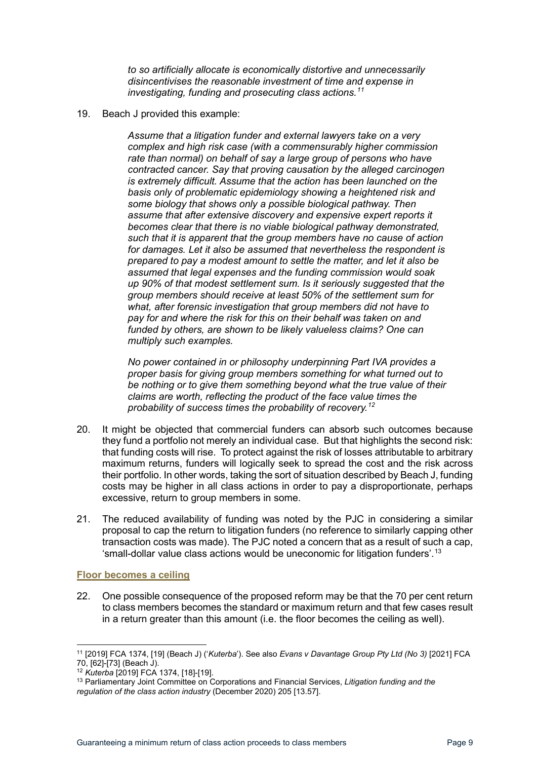*to so artificially allocate is economically distortive and unnecessarily disincentivises the reasonable investment of time and expense in investigating, funding and prosecuting class actions.[11](#page-8-1)*

<span id="page-8-4"></span>19. Beach J provided this example:

*Assume that a litigation funder and external lawyers take on a very complex and high risk case (with a commensurably higher commission rate than normal) on behalf of say a large group of persons who have contracted cancer. Say that proving causation by the alleged carcinogen is extremely difficult. Assume that the action has been launched on the basis only of problematic epidemiology showing a heightened risk and some biology that shows only a possible biological pathway. Then assume that after extensive discovery and expensive expert reports it becomes clear that there is no viable biological pathway demonstrated, such that it is apparent that the group members have no cause of action for damages. Let it also be assumed that nevertheless the respondent is prepared to pay a modest amount to settle the matter, and let it also be assumed that legal expenses and the funding commission would soak up 90% of that modest settlement sum. Is it seriously suggested that the group members should receive at least 50% of the settlement sum for what, after forensic investigation that group members did not have to pay for and where the risk for this on their behalf was taken on and funded by others, are shown to be likely valueless claims? One can multiply such examples.*

*No power contained in or philosophy underpinning Part IVA provides a proper basis for giving group members something for what turned out to be nothing or to give them something beyond what the true value of their claims are worth, reflecting the product of the face value times the probability of success times the probability of recovery.[12](#page-8-2)*

- 20. It might be objected that commercial funders can absorb such outcomes because they fund a portfolio not merely an individual case. But that highlights the second risk: that funding costs will rise. To protect against the risk of losses attributable to arbitrary maximum returns, funders will logically seek to spread the cost and the risk across their portfolio. In other words, taking the sort of situation described by Beach J, funding costs may be higher in all class actions in order to pay a disproportionate, perhaps excessive, return to group members in some.
- 21. The reduced availability of funding was noted by the PJC in considering a similar proposal to cap the return to litigation funders (no reference to similarly capping other transaction costs was made). The PJC noted a concern that as a result of such a cap, 'small-dollar value class actions would be uneconomic for litigation funders'.[13](#page-8-3)

## <span id="page-8-0"></span>**Floor becomes a ceiling**

22. One possible consequence of the proposed reform may be that the 70 per cent return to class members becomes the standard or maximum return and that few cases result in a return greater than this amount (i.e. the floor becomes the ceiling as well).

<span id="page-8-1"></span><sup>11</sup> [2019] FCA 1374, [19] (Beach J) ('*Kuterba*'). See also *Evans v Davantage Group Pty Ltd (No 3)* [2021] FCA 70, [62]-[73] (Beach J).

<span id="page-8-2"></span><sup>12</sup> *Kuterba* [2019] FCA 1374, [18]-[19].

<span id="page-8-3"></span><sup>13</sup> Parliamentary Joint Committee on Corporations and Financial Services, *Litigation funding and the regulation of the class action industry* (December 2020) 205 [13.57].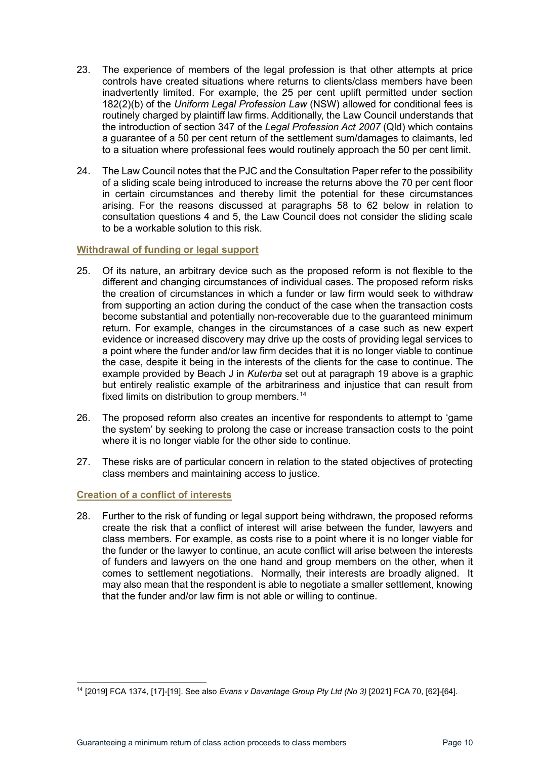- 23. The experience of members of the legal profession is that other attempts at price controls have created situations where returns to clients/class members have been inadvertently limited. For example, the 25 per cent uplift permitted under section 182(2)(b) of the *Uniform Legal Profession Law* (NSW) allowed for conditional fees is routinely charged by plaintiff law firms. Additionally, the Law Council understands that the introduction of section 347 of the *Legal Profession Act 2007* (Qld) which contains a guarantee of a 50 per cent return of the settlement sum/damages to claimants, led to a situation where professional fees would routinely approach the 50 per cent limit.
- 24. The Law Council notes that the PJC and the Consultation Paper refer to the possibility of a sliding scale being introduced to increase the returns above the 70 per cent floor in certain circumstances and thereby limit the potential for these circumstances arising. For the reasons discussed at paragraphs [58](#page-15-1) to [62](#page-16-1) below in relation to consultation questions 4 and 5, the Law Council does not consider the sliding scale to be a workable solution to this risk.

## <span id="page-9-0"></span>**Withdrawal of funding or legal support**

- 25. Of its nature, an arbitrary device such as the proposed reform is not flexible to the different and changing circumstances of individual cases. The proposed reform risks the creation of circumstances in which a funder or law firm would seek to withdraw from supporting an action during the conduct of the case when the transaction costs become substantial and potentially non-recoverable due to the guaranteed minimum return. For example, changes in the circumstances of a case such as new expert evidence or increased discovery may drive up the costs of providing legal services to a point where the funder and/or law firm decides that it is no longer viable to continue the case, despite it being in the interests of the clients for the case to continue. The example provided by Beach J in *Kuterba* set out at paragraph [19](#page-8-4) above is a graphic but entirely realistic example of the arbitrariness and injustice that can result from fixed limits on distribution to group members.<sup>14</sup>
- 26. The proposed reform also creates an incentive for respondents to attempt to 'game the system' by seeking to prolong the case or increase transaction costs to the point where it is no longer viable for the other side to continue.
- 27. These risks are of particular concern in relation to the stated objectives of protecting class members and maintaining access to justice.

## <span id="page-9-1"></span>**Creation of a conflict of interests**

28. Further to the risk of funding or legal support being withdrawn, the proposed reforms create the risk that a conflict of interest will arise between the funder, lawyers and class members. For example, as costs rise to a point where it is no longer viable for the funder or the lawyer to continue, an acute conflict will arise between the interests of funders and lawyers on the one hand and group members on the other, when it comes to settlement negotiations. Normally, their interests are broadly aligned. It may also mean that the respondent is able to negotiate a smaller settlement, knowing that the funder and/or law firm is not able or willing to continue.

<span id="page-9-2"></span><sup>14</sup> [2019] FCA 1374, [17]-[19]. See also *Evans v Davantage Group Pty Ltd (No 3)* [2021] FCA 70, [62]-[64].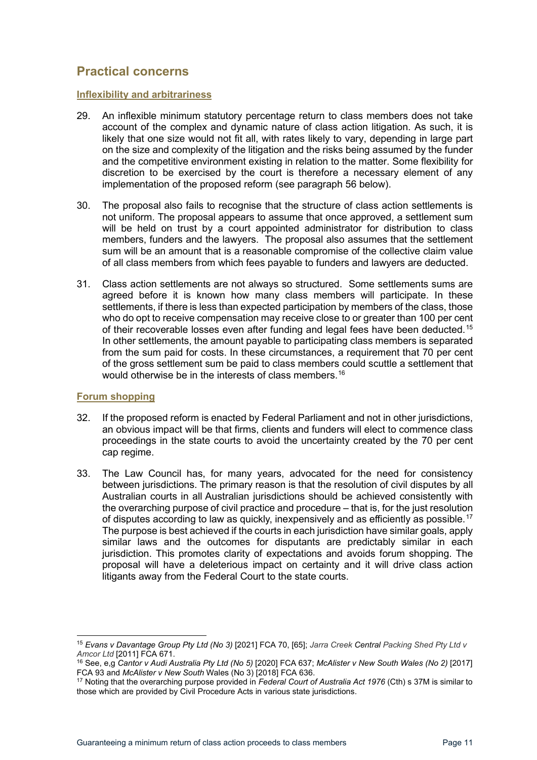## <span id="page-10-0"></span>**Practical concerns**

#### <span id="page-10-1"></span>**Inflexibility and arbitrariness**

- 29. An inflexible minimum statutory percentage return to class members does not take account of the complex and dynamic nature of class action litigation. As such, it is likely that one size would not fit all, with rates likely to vary, depending in large part on the size and complexity of the litigation and the risks being assumed by the funder and the competitive environment existing in relation to the matter. Some flexibility for discretion to be exercised by the court is therefore a necessary element of any implementation of the proposed reform (see paragraph [56](#page-15-2) below).
- 30. The proposal also fails to recognise that the structure of class action settlements is not uniform. The proposal appears to assume that once approved, a settlement sum will be held on trust by a court appointed administrator for distribution to class members, funders and the lawyers. The proposal also assumes that the settlement sum will be an amount that is a reasonable compromise of the collective claim value of all class members from which fees payable to funders and lawyers are deducted.
- 31. Class action settlements are not always so structured. Some settlements sums are agreed before it is known how many class members will participate. In these settlements, if there is less than expected participation by members of the class, those who do opt to receive compensation may receive close to or greater than 100 per cent of their recoverable losses even after funding and legal fees have been deducted.[15](#page-10-3) In other settlements, the amount payable to participating class members is separated from the sum paid for costs. In these circumstances, a requirement that 70 per cent of the gross settlement sum be paid to class members could scuttle a settlement that would otherwise be in the interests of class members.<sup>[16](#page-10-4)</sup>

## <span id="page-10-2"></span>**Forum shopping**

- <span id="page-10-6"></span>32. If the proposed reform is enacted by Federal Parliament and not in other jurisdictions, an obvious impact will be that firms, clients and funders will elect to commence class proceedings in the state courts to avoid the uncertainty created by the 70 per cent cap regime.
- <span id="page-10-7"></span>33. The Law Council has, for many years, advocated for the need for consistency between jurisdictions. The primary reason is that the resolution of civil disputes by all Australian courts in all Australian jurisdictions should be achieved consistently with the overarching purpose of civil practice and procedure – that is, for the just resolution of disputes according to law as quickly, inexpensively and as efficiently as possible.<sup>[17](#page-10-5)</sup> The purpose is best achieved if the courts in each jurisdiction have similar goals, apply similar laws and the outcomes for disputants are predictably similar in each jurisdiction. This promotes clarity of expectations and avoids forum shopping. The proposal will have a deleterious impact on certainty and it will drive class action litigants away from the Federal Court to the state courts.

<span id="page-10-3"></span><sup>15</sup> *Evans v Davantage Group Pty Ltd (No 3)* [2021] FCA 70, [65]; *Jarra Creek Central Packing Shed Pty Ltd v Amcor Ltd* [2011] FCA 671.

<span id="page-10-4"></span><sup>16</sup> See, e,g *Cantor v Audi Australia Pty Ltd (No 5)* [2020] FCA 637; *McAlister v New South Wales (No 2)* [2017] FCA 93 and *McAlister v New South* Wales (No 3) [2018] FCA 636.

<span id="page-10-5"></span><sup>17</sup> Noting that the overarching purpose provided in *Federal Court of Australia Act 1976* (Cth) s 37M is similar to those which are provided by Civil Procedure Acts in various state jurisdictions.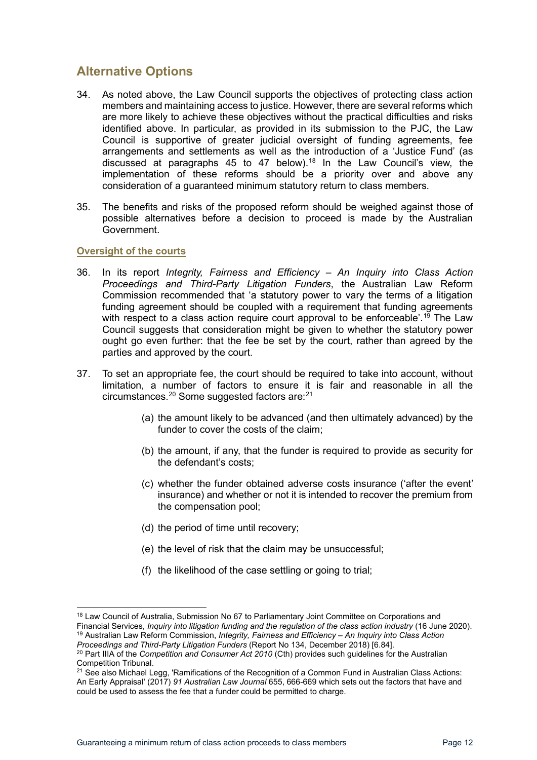## <span id="page-11-0"></span>**Alternative Options**

- 34. As noted above, the Law Council supports the objectives of protecting class action members and maintaining access to justice. However, there are several reforms which are more likely to achieve these objectives without the practical difficulties and risks identified above. In particular, as provided in its submission to the PJC, the Law Council is supportive of greater judicial oversight of funding agreements, fee arrangements and settlements as well as the introduction of a 'Justice Fund' (as discussed at paragraphs [45](#page-13-2) to [47](#page-13-1) below). [18](#page-11-2) In the Law Council's view, the implementation of these reforms should be a priority over and above any consideration of a guaranteed minimum statutory return to class members.
- 35. The benefits and risks of the proposed reform should be weighed against those of possible alternatives before a decision to proceed is made by the Australian Government.

## <span id="page-11-1"></span>**Oversight of the courts**

- 36. In its report *Integrity, Fairness and Efficiency – An Inquiry into Class Action Proceedings and Third-Party Litigation Funders*, the Australian Law Reform Commission recommended that 'a statutory power to vary the terms of a litigation funding agreement should be coupled with a requirement that funding agreements with respect to a class action require court approval to be enforceable'. [19](#page-11-3) The Law Council suggests that consideration might be given to whether the statutory power ought go even further: that the fee be set by the court, rather than agreed by the parties and approved by the court.
- 37. To set an appropriate fee, the court should be required to take into account, without limitation, a number of factors to ensure it is fair and reasonable in all the circumstances. $^{20}$  $^{20}$  $^{20}$  Some suggested factors are: $^{21}$  $^{21}$  $^{21}$ 
	- (a) the amount likely to be advanced (and then ultimately advanced) by the funder to cover the costs of the claim;
	- (b) the amount, if any, that the funder is required to provide as security for the defendant's costs;
	- (c) whether the funder obtained adverse costs insurance ('after the event' insurance) and whether or not it is intended to recover the premium from the compensation pool;
	- (d) the period of time until recovery;
	- (e) the level of risk that the claim may be unsuccessful;
	- (f) the likelihood of the case settling or going to trial;

<span id="page-11-2"></span><sup>&</sup>lt;sup>18</sup> Law Council of Australia, Submission No 67 to Parliamentary Joint Committee on Corporations and Financial Services, *Inquiry into litigation funding and the regulation of the class action industry* (16 June 2020). <sup>19</sup> Australian Law Reform Commission, *Integrity, Fairness and Efficiency – An Inquiry into Class Action* 

<span id="page-11-3"></span>*Proceedings and Third-Party Litigation Funders* (Report No 134, December 2018) [6.84].

<span id="page-11-4"></span><sup>20</sup> Part IIIA of the *Competition and Consumer Act 2010* (Cth) provides such guidelines for the Australian Competition Tribunal.

<span id="page-11-5"></span> $21$  See also Michael Legg, 'Ramifications of the Recognition of a Common Fund in Australian Class Actions: An Early Appraisal' (2017) *91 Australian Law Journal* 655, 666-669 which sets out the factors that have and could be used to assess the fee that a funder could be permitted to charge.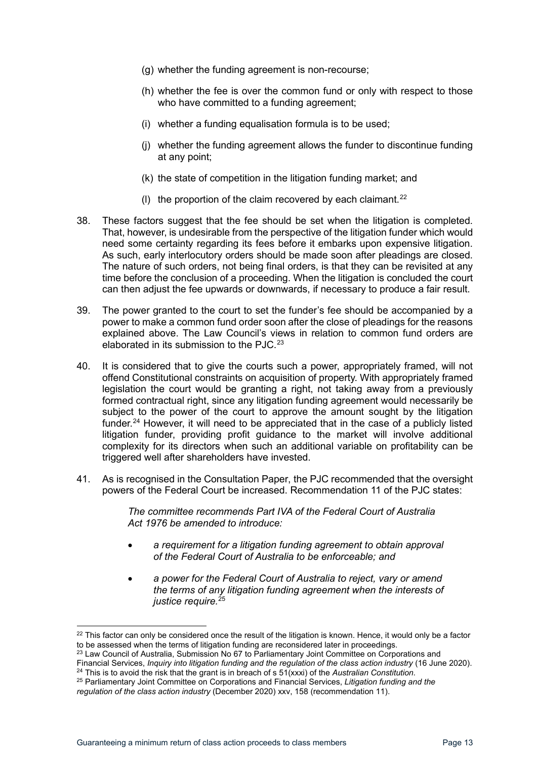- (g) whether the funding agreement is non-recourse;
- (h) whether the fee is over the common fund or only with respect to those who have committed to a funding agreement;
- (i) whether a funding equalisation formula is to be used;
- (j) whether the funding agreement allows the funder to discontinue funding at any point;
- (k) the state of competition in the litigation funding market; and
- (I) the proportion of the claim recovered by each claimant. $^{22}$  $^{22}$  $^{22}$
- 38. These factors suggest that the fee should be set when the litigation is completed. That, however, is undesirable from the perspective of the litigation funder which would need some certainty regarding its fees before it embarks upon expensive litigation. As such, early interlocutory orders should be made soon after pleadings are closed. The nature of such orders, not being final orders, is that they can be revisited at any time before the conclusion of a proceeding. When the litigation is concluded the court can then adjust the fee upwards or downwards, if necessary to produce a fair result.
- 39. The power granted to the court to set the funder's fee should be accompanied by a power to make a common fund order soon after the close of pleadings for the reasons explained above. The Law Council's views in relation to common fund orders are elaborated in its submission to the PJC.<sup>23</sup>
- 40. It is considered that to give the courts such a power, appropriately framed, will not offend Constitutional constraints on acquisition of property. With appropriately framed legislation the court would be granting a right, not taking away from a previously formed contractual right, since any litigation funding agreement would necessarily be subject to the power of the court to approve the amount sought by the litigation funder.<sup>[24](#page-12-2)</sup> However, it will need to be appreciated that in the case of a publicly listed litigation funder, providing profit guidance to the market will involve additional complexity for its directors when such an additional variable on profitability can be triggered well after shareholders have invested.
- 41. As is recognised in the Consultation Paper, the PJC recommended that the oversight powers of the Federal Court be increased. Recommendation 11 of the PJC states:

*The committee recommends Part IVA of the Federal Court of Australia Act 1976 be amended to introduce:*

- *a requirement for a litigation funding agreement to obtain approval of the Federal Court of Australia to be enforceable; and*
- *a power for the Federal Court of Australia to reject, vary or amend the terms of any litigation funding agreement when the interests of justice require.*[25](#page-12-3)

<span id="page-12-0"></span> $22$  This factor can only be considered once the result of the litigation is known. Hence, it would only be a factor to be assessed when the terms of litigation funding are reconsidered later in proceedings.

<span id="page-12-1"></span><sup>&</sup>lt;sup>23</sup> Law Council of Australia, Submission No 67 to Parliamentary Joint Committee on Corporations and

Financial Services, *Inquiry into litigation funding and the regulation of the class action industry* (16 June 2020). <sup>24</sup> This is to avoid the risk that the grant is in breach of s 51(xxxi) of the *Australian Constitution*.

<span id="page-12-3"></span><span id="page-12-2"></span><sup>25</sup> Parliamentary Joint Committee on Corporations and Financial Services, *Litigation funding and the regulation of the class action industry* (December 2020) xxv, 158 (recommendation 11).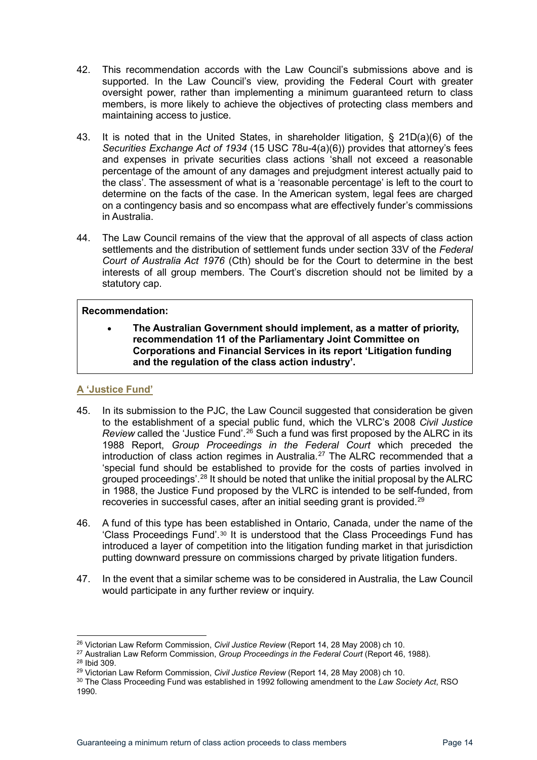- 42. This recommendation accords with the Law Council's submissions above and is supported. In the Law Council's view, providing the Federal Court with greater oversight power, rather than implementing a minimum guaranteed return to class members, is more likely to achieve the objectives of protecting class members and maintaining access to justice.
- <span id="page-13-8"></span>43. It is noted that in the United States, in shareholder litigation, § 21D(a)(6) of the *Securities Exchange Act of 1934* (15 USC 78u-4(a)(6)) provides that attorney's fees and expenses in private securities class actions 'shall not exceed a reasonable percentage of the amount of any damages and prejudgment interest actually paid to the class'. The assessment of what is a 'reasonable percentage' is left to the court to determine on the facts of the case. In the American system, legal fees are charged on a contingency basis and so encompass what are effectively funder's commissions in Australia.
- 44. The Law Council remains of the view that the approval of all aspects of class action settlements and the distribution of settlement funds under section 33V of the *Federal Court of Australia Act 1976* (Cth) should be for the Court to determine in the best interests of all group members. The Court's discretion should not be limited by a statutory cap.

## **Recommendation:**

• **The Australian Government should implement, as a matter of priority, recommendation 11 of the Parliamentary Joint Committee on Corporations and Financial Services in its report 'Litigation funding and the regulation of the class action industry'.**

## <span id="page-13-0"></span>**A 'Justice Fund'**

- <span id="page-13-2"></span>45. In its submission to the PJC, the Law Council suggested that consideration be given to the establishment of a special public fund, which the VLRC's 2008 *Civil Justice Review* called the 'Justice Fund'.[26](#page-13-3) Such a fund was first proposed by the ALRC in its 1988 Report, *Group Proceedings in the Federal Court* which preceded the introduction of class action regimes in Australia.<sup>[27](#page-13-4)</sup> The ALRC recommended that a 'special fund should be established to provide for the costs of parties involved in grouped proceedings'.[28](#page-13-5) It should be noted that unlike the initial proposal by the ALRC in 1988, the Justice Fund proposed by the VLRC is intended to be self-funded, from recoveries in successful cases, after an initial seeding grant is provided.<sup>[29](#page-13-6)</sup>
- 46. A fund of this type has been established in Ontario, Canada, under the name of the 'Class Proceedings Fund'.[30](#page-13-7) It is understood that the Class Proceedings Fund has introduced a layer of competition into the litigation funding market in that jurisdiction putting downward pressure on commissions charged by private litigation funders.
- <span id="page-13-1"></span>47. In the event that a similar scheme was to be considered in Australia, the Law Council would participate in any further review or inquiry.

<span id="page-13-3"></span><sup>26</sup> Victorian Law Reform Commission, *Civil Justice Review* (Report 14, 28 May 2008) ch 10.

<span id="page-13-4"></span><sup>27</sup> Australian Law Reform Commission, *Group Proceedings in the Federal Court* (Report 46, 1988).

<span id="page-13-5"></span><sup>28</sup> Ibid 309.

<span id="page-13-6"></span><sup>29</sup> Victorian Law Reform Commission, *Civil Justice Review* (Report 14, 28 May 2008) ch 10.

<span id="page-13-7"></span><sup>30</sup> The Class Proceeding Fund was established in 1992 following amendment to the *Law Society Act*, RSO 1990.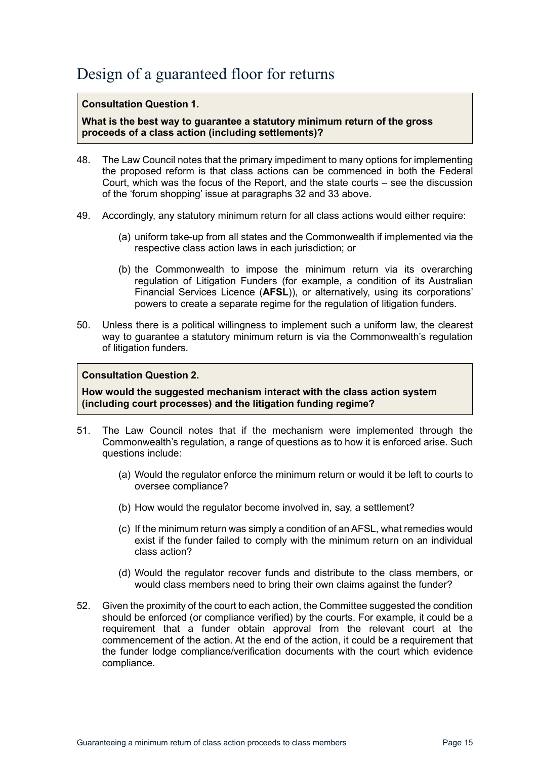# <span id="page-14-0"></span>Design of a guaranteed floor for returns

### **Consultation Question 1.**

**What is the best way to guarantee a statutory minimum return of the gross proceeds of a class action (including settlements)?**

- 48. The Law Council notes that the primary impediment to many options for implementing the proposed reform is that class actions can be commenced in both the Federal Court, which was the focus of the Report, and the state courts – see the discussion of the 'forum shopping' issue at paragraphs [32](#page-10-6) and [33](#page-10-7) above.
- 49. Accordingly, any statutory minimum return for all class actions would either require:
	- (a) uniform take-up from all states and the Commonwealth if implemented via the respective class action laws in each jurisdiction; or
	- (b) the Commonwealth to impose the minimum return via its overarching regulation of Litigation Funders (for example, a condition of its Australian Financial Services Licence (**AFSL**)), or alternatively, using its corporations' powers to create a separate regime for the regulation of litigation funders.
- 50. Unless there is a political willingness to implement such a uniform law, the clearest way to guarantee a statutory minimum return is via the Commonwealth's regulation of litigation funders.

### **Consultation Question 2.**

**How would the suggested mechanism interact with the class action system (including court processes) and the litigation funding regime?**

- 51. The Law Council notes that if the mechanism were implemented through the Commonwealth's regulation, a range of questions as to how it is enforced arise. Such questions include:
	- (a) Would the regulator enforce the minimum return or would it be left to courts to oversee compliance?
	- (b) How would the regulator become involved in, say, a settlement?
	- (c) If the minimum return was simply a condition of an AFSL, what remedies would exist if the funder failed to comply with the minimum return on an individual class action?
	- (d) Would the regulator recover funds and distribute to the class members, or would class members need to bring their own claims against the funder?
- 52. Given the proximity of the court to each action, the Committee suggested the condition should be enforced (or compliance verified) by the courts. For example, it could be a requirement that a funder obtain approval from the relevant court at the commencement of the action. At the end of the action, it could be a requirement that the funder lodge compliance/verification documents with the court which evidence compliance.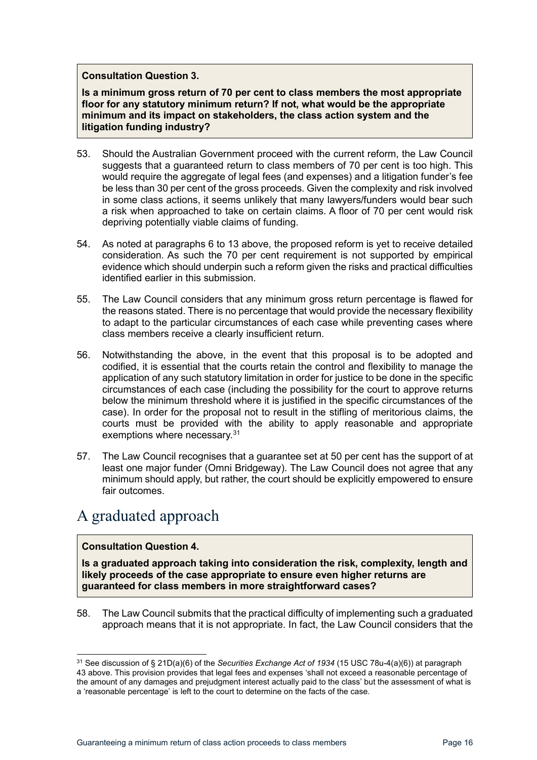### **Consultation Question 3.**

**Is a minimum gross return of 70 per cent to class members the most appropriate floor for any statutory minimum return? If not, what would be the appropriate minimum and its impact on stakeholders, the class action system and the litigation funding industry?**

- 53. Should the Australian Government proceed with the current reform, the Law Council suggests that a guaranteed return to class members of 70 per cent is too high. This would require the aggregate of legal fees (and expenses) and a litigation funder's fee be less than 30 per cent of the gross proceeds. Given the complexity and risk involved in some class actions, it seems unlikely that many lawyers/funders would bear such a risk when approached to take on certain claims. A floor of 70 per cent would risk depriving potentially viable claims of funding.
- 54. As noted at paragraphs [6](#page-5-5) to [13](#page-6-4) above, the proposed reform is yet to receive detailed consideration. As such the 70 per cent requirement is not supported by empirical evidence which should underpin such a reform given the risks and practical difficulties identified earlier in this submission.
- 55. The Law Council considers that any minimum gross return percentage is flawed for the reasons stated. There is no percentage that would provide the necessary flexibility to adapt to the particular circumstances of each case while preventing cases where class members receive a clearly insufficient return.
- <span id="page-15-2"></span>56. Notwithstanding the above, in the event that this proposal is to be adopted and codified, it is essential that the courts retain the control and flexibility to manage the application of any such statutory limitation in order for justice to be done in the specific circumstances of each case (including the possibility for the court to approve returns below the minimum threshold where it is justified in the specific circumstances of the case). In order for the proposal not to result in the stifling of meritorious claims, the courts must be provided with the ability to apply reasonable and appropriate exemptions where necessary.<sup>[31](#page-15-3)</sup>
- 57. The Law Council recognises that a guarantee set at 50 per cent has the support of at least one major funder (Omni Bridgeway). The Law Council does not agree that any minimum should apply, but rather, the court should be explicitly empowered to ensure fair outcomes.

# <span id="page-15-0"></span>A graduated approach

## **Consultation Question 4.**

**Is a graduated approach taking into consideration the risk, complexity, length and likely proceeds of the case appropriate to ensure even higher returns are guaranteed for class members in more straightforward cases?**

<span id="page-15-1"></span>58. The Law Council submits that the practical difficulty of implementing such a graduated approach means that it is not appropriate. In fact, the Law Council considers that the

<span id="page-15-3"></span><sup>31</sup> See discussion of § 21D(a)(6) of the *Securities Exchange Act of 1934* (15 USC 78u-4(a)(6)) at paragraph [43](#page-13-8) above. This provision provides that legal fees and expenses 'shall not exceed a reasonable percentage of the amount of any damages and prejudgment interest actually paid to the class' but the assessment of what is a 'reasonable percentage' is left to the court to determine on the facts of the case.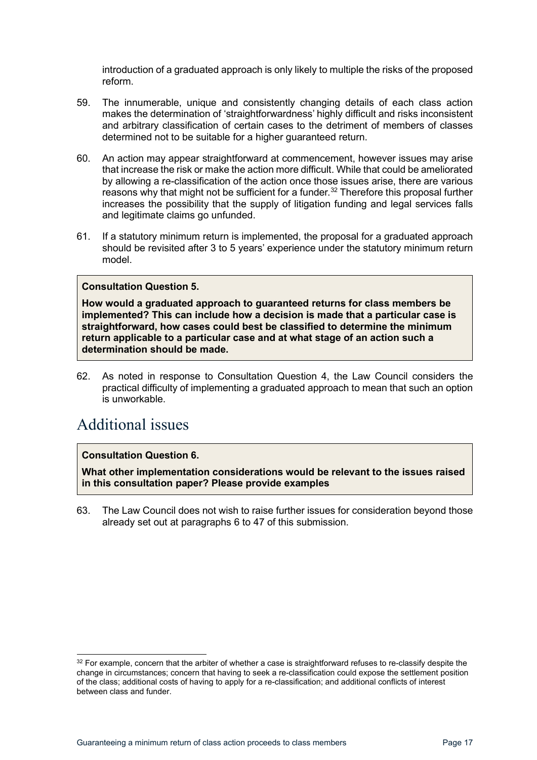introduction of a graduated approach is only likely to multiple the risks of the proposed reform.

- 59. The innumerable, unique and consistently changing details of each class action makes the determination of 'straightforwardness' highly difficult and risks inconsistent and arbitrary classification of certain cases to the detriment of members of classes determined not to be suitable for a higher guaranteed return.
- 60. An action may appear straightforward at commencement, however issues may arise that increase the risk or make the action more difficult. While that could be ameliorated by allowing a re-classification of the action once those issues arise, there are various reasons why that might not be sufficient for a funder. [32](#page-16-2) Therefore this proposal further increases the possibility that the supply of litigation funding and legal services falls and legitimate claims go unfunded.
- 61. If a statutory minimum return is implemented, the proposal for a graduated approach should be revisited after 3 to 5 years' experience under the statutory minimum return model.

### **Consultation Question 5.**

**How would a graduated approach to guaranteed returns for class members be implemented? This can include how a decision is made that a particular case is straightforward, how cases could best be classified to determine the minimum return applicable to a particular case and at what stage of an action such a determination should be made.**

<span id="page-16-1"></span>62. As noted in response to Consultation Question 4, the Law Council considers the practical difficulty of implementing a graduated approach to mean that such an option is unworkable.

## <span id="page-16-0"></span>Additional issues

## **Consultation Question 6.**

**What other implementation considerations would be relevant to the issues raised in this consultation paper? Please provide examples**

63. The Law Council does not wish to raise further issues for consideration beyond those already set out at paragraphs [6](#page-5-5) to [47](#page-13-1) of this submission.

<span id="page-16-2"></span><sup>&</sup>lt;sup>32</sup> For example, concern that the arbiter of whether a case is straightforward refuses to re-classify despite the change in circumstances; concern that having to seek a re-classification could expose the settlement position of the class; additional costs of having to apply for a re-classification; and additional conflicts of interest between class and funder.